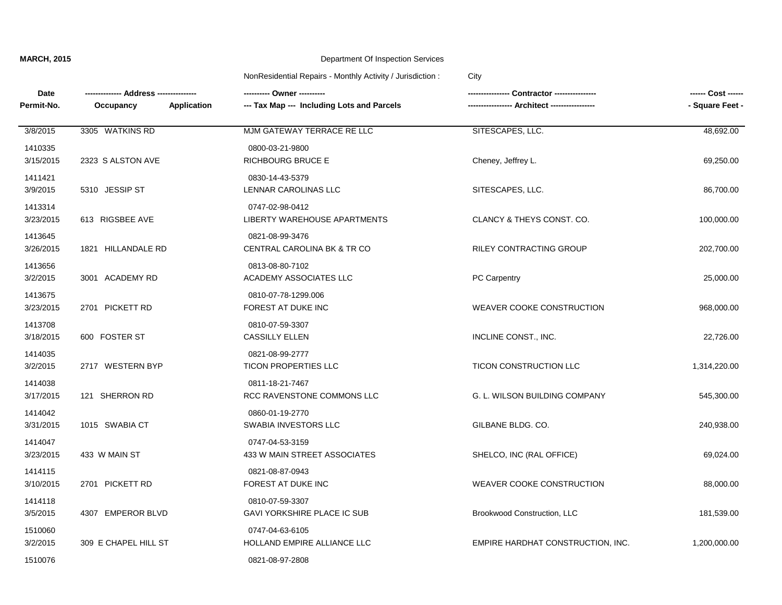| Date                 |                      | ---------- Owner ----------                                      | Contractor ----------------       | ------ Cost ------ |
|----------------------|----------------------|------------------------------------------------------------------|-----------------------------------|--------------------|
| Permit-No.           | Occupancy            | --- Tax Map --- Including Lots and Parcels<br><b>Application</b> |                                   | - Square Feet -    |
| 3/8/2015             | 3305 WATKINS RD      | MJM GATEWAY TERRACE RE LLC                                       | SITESCAPES, LLC.                  | 48,692.00          |
| 1410335<br>3/15/2015 | 2323 S ALSTON AVE    | 0800-03-21-9800<br><b>RICHBOURG BRUCE E</b>                      | Cheney, Jeffrey L.                | 69,250.00          |
| 1411421<br>3/9/2015  | 5310 JESSIP ST       | 0830-14-43-5379<br>LENNAR CAROLINAS LLC                          | SITESCAPES, LLC.                  | 86,700.00          |
| 1413314<br>3/23/2015 | 613 RIGSBEE AVE      | 0747-02-98-0412<br>LIBERTY WAREHOUSE APARTMENTS                  | CLANCY & THEYS CONST. CO.         | 100,000.00         |
| 1413645<br>3/26/2015 | 1821 HILLANDALE RD   | 0821-08-99-3476<br>CENTRAL CAROLINA BK & TR CO                   | <b>RILEY CONTRACTING GROUP</b>    | 202,700.00         |
| 1413656<br>3/2/2015  | 3001 ACADEMY RD      | 0813-08-80-7102<br>ACADEMY ASSOCIATES LLC                        | <b>PC Carpentry</b>               | 25,000.00          |
| 1413675<br>3/23/2015 | 2701 PICKETT RD      | 0810-07-78-1299.006<br>FOREST AT DUKE INC                        | WEAVER COOKE CONSTRUCTION         | 968,000.00         |
| 1413708<br>3/18/2015 | 600 FOSTER ST        | 0810-07-59-3307<br><b>CASSILLY ELLEN</b>                         | INCLINE CONST., INC.              | 22,726.00          |
| 1414035<br>3/2/2015  | 2717 WESTERN BYP     | 0821-08-99-2777<br><b>TICON PROPERTIES LLC</b>                   | TICON CONSTRUCTION LLC            | 1,314,220.00       |
| 1414038<br>3/17/2015 | 121 SHERRON RD       | 0811-18-21-7467<br>RCC RAVENSTONE COMMONS LLC                    | G. L. WILSON BUILDING COMPANY     | 545,300.00         |
| 1414042<br>3/31/2015 | 1015 SWABIA CT       | 0860-01-19-2770<br>SWABIA INVESTORS LLC                          | GILBANE BLDG. CO.                 | 240,938.00         |
| 1414047<br>3/23/2015 | 433 W MAIN ST        | 0747-04-53-3159<br>433 W MAIN STREET ASSOCIATES                  | SHELCO, INC (RAL OFFICE)          | 69,024.00          |
| 1414115<br>3/10/2015 | 2701 PICKETT RD      | 0821-08-87-0943<br>FOREST AT DUKE INC                            | WEAVER COOKE CONSTRUCTION         | 88,000.00          |
| 1414118<br>3/5/2015  | 4307 EMPEROR BLVD    | 0810-07-59-3307<br><b>GAVI YORKSHIRE PLACE IC SUB</b>            | Brookwood Construction, LLC       | 181,539.00         |
| 1510060<br>3/2/2015  | 309 E CHAPEL HILL ST | 0747-04-63-6105<br>HOLLAND EMPIRE ALLIANCE LLC                   | EMPIRE HARDHAT CONSTRUCTION, INC. | 1,200,000.00       |
| 1510076              |                      | 0821-08-97-2808                                                  |                                   |                    |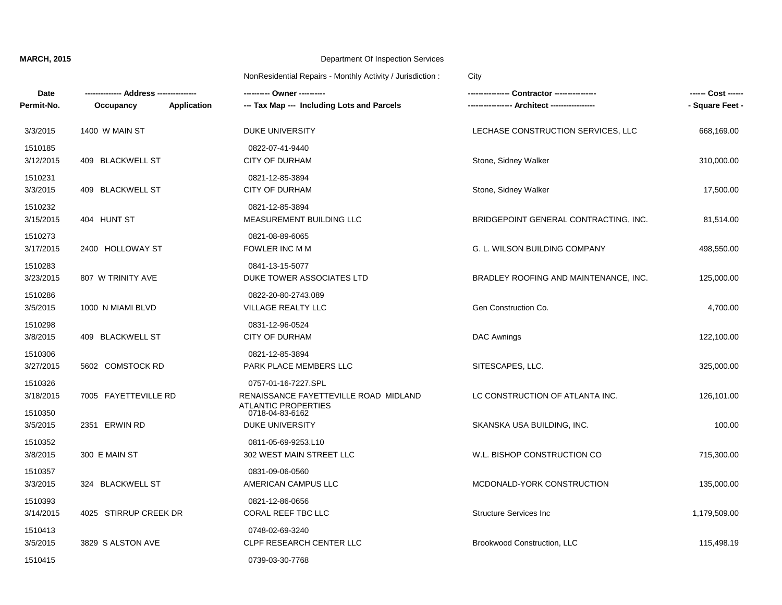| Date<br>Permit-No.   | Occupancy             | <b>Application</b> | --------- Owner ---------<br>--- Tax Map --- Including Lots and Parcels | . Contractor ----------------         | - Square Feet - |
|----------------------|-----------------------|--------------------|-------------------------------------------------------------------------|---------------------------------------|-----------------|
| 3/3/2015             | 1400 W MAIN ST        |                    | <b>DUKE UNIVERSITY</b>                                                  | LECHASE CONSTRUCTION SERVICES, LLC    | 668,169.00      |
| 1510185<br>3/12/2015 | 409 BLACKWELL ST      |                    | 0822-07-41-9440<br><b>CITY OF DURHAM</b>                                | Stone, Sidney Walker                  | 310,000.00      |
| 1510231<br>3/3/2015  | 409 BLACKWELL ST      |                    | 0821-12-85-3894<br><b>CITY OF DURHAM</b>                                | Stone, Sidney Walker                  | 17,500.00       |
| 1510232<br>3/15/2015 | 404 HUNT ST           |                    | 0821-12-85-3894<br>MEASUREMENT BUILDING LLC                             | BRIDGEPOINT GENERAL CONTRACTING, INC. | 81,514.00       |
| 1510273<br>3/17/2015 | 2400 HOLLOWAY ST      |                    | 0821-08-89-6065<br>FOWLER INC M M                                       | G. L. WILSON BUILDING COMPANY         | 498,550.00      |
| 1510283<br>3/23/2015 | 807 W TRINITY AVE     |                    | 0841-13-15-5077<br>DUKE TOWER ASSOCIATES LTD                            | BRADLEY ROOFING AND MAINTENANCE, INC. | 125,000.00      |
| 1510286<br>3/5/2015  | 1000 N MIAMI BLVD     |                    | 0822-20-80-2743.089<br>VILLAGE REALTY LLC                               | Gen Construction Co.                  | 4,700.00        |
| 1510298<br>3/8/2015  | 409 BLACKWELL ST      |                    | 0831-12-96-0524<br><b>CITY OF DURHAM</b>                                | DAC Awnings                           | 122,100.00      |
| 1510306<br>3/27/2015 | 5602 COMSTOCK RD      |                    | 0821-12-85-3894<br>PARK PLACE MEMBERS LLC                               | SITESCAPES, LLC.                      | 325,000.00      |
| 1510326<br>3/18/2015 | 7005 FAYETTEVILLE RD  |                    | 0757-01-16-7227.SPL<br>RENAISSANCE FAYETTEVILLE ROAD MIDLAND            | LC CONSTRUCTION OF ATLANTA INC.       | 126,101.00      |
| 1510350<br>3/5/2015  | 2351 ERWIN RD         |                    | ATLANTIC PROPERTIES<br>0718-04-83-6162<br><b>DUKE UNIVERSITY</b>        | SKANSKA USA BUILDING, INC.            | 100.00          |
| 1510352              |                       |                    | 0811-05-69-9253.L10                                                     |                                       |                 |
| 3/8/2015<br>1510357  | 300 E MAIN ST         |                    | 302 WEST MAIN STREET LLC<br>0831-09-06-0560                             | W.L. BISHOP CONSTRUCTION CO           | 715,300.00      |
| 3/3/2015             | 324 BLACKWELL ST      |                    | AMERICAN CAMPUS LLC                                                     | MCDONALD-YORK CONSTRUCTION            | 135,000.00      |
| 1510393<br>3/14/2015 | 4025 STIRRUP CREEK DR |                    | 0821-12-86-0656<br><b>CORAL REEF TBC LLC</b>                            | <b>Structure Services Inc.</b>        | 1,179,509.00    |
| 1510413<br>3/5/2015  | 3829 S ALSTON AVE     |                    | 0748-02-69-3240<br>CLPF RESEARCH CENTER LLC                             | Brookwood Construction, LLC           | 115,498.19      |
| 1510415              |                       |                    | 0739-03-30-7768                                                         |                                       |                 |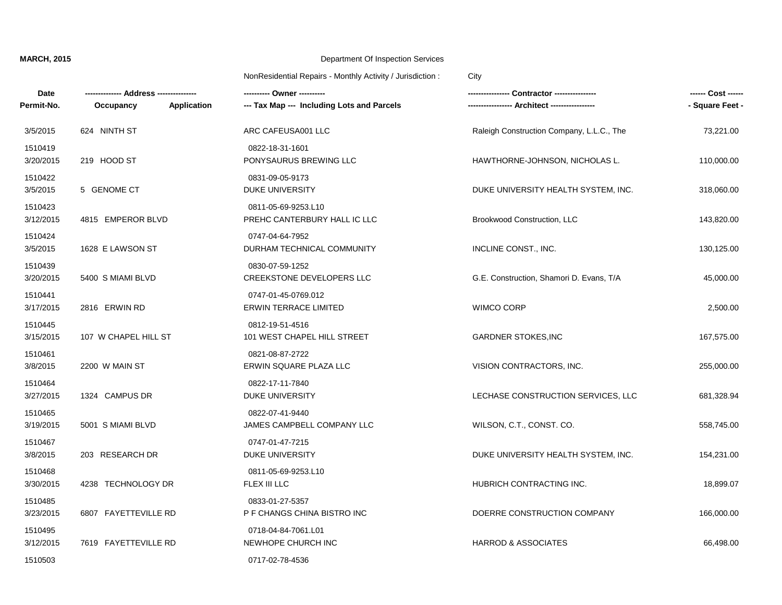| <b>Date</b><br>Permit-No. | Occupancy<br>Application | --- Tax Map --- Including Lots and Parcels          |                                           | - Square Feet - |
|---------------------------|--------------------------|-----------------------------------------------------|-------------------------------------------|-----------------|
|                           |                          |                                                     |                                           |                 |
| 3/5/2015                  | 624 NINTH ST             | ARC CAFEUSA001 LLC                                  | Raleigh Construction Company, L.L.C., The | 73,221.00       |
| 1510419<br>3/20/2015      | 219 HOOD ST              | 0822-18-31-1601<br>PONYSAURUS BREWING LLC           | HAWTHORNE-JOHNSON, NICHOLAS L.            | 110,000.00      |
| 1510422<br>3/5/2015       | 5 GENOME CT              | 0831-09-05-9173<br><b>DUKE UNIVERSITY</b>           | DUKE UNIVERSITY HEALTH SYSTEM, INC.       | 318,060.00      |
| 1510423<br>3/12/2015      | 4815 EMPEROR BLVD        | 0811-05-69-9253.L10<br>PREHC CANTERBURY HALL IC LLC | Brookwood Construction, LLC               | 143,820.00      |
| 1510424<br>3/5/2015       | 1628 E LAWSON ST         | 0747-04-64-7952<br>DURHAM TECHNICAL COMMUNITY       | INCLINE CONST., INC.                      | 130,125.00      |
| 1510439<br>3/20/2015      | 5400 S MIAMI BLVD        | 0830-07-59-1252<br>CREEKSTONE DEVELOPERS LLC        | G.E. Construction, Shamori D. Evans, T/A  | 45,000.00       |
| 1510441<br>3/17/2015      | 2816 ERWIN RD            | 0747-01-45-0769.012<br><b>ERWIN TERRACE LIMITED</b> | <b>WIMCO CORP</b>                         | 2,500.00        |
| 1510445<br>3/15/2015      | 107 W CHAPEL HILL ST     | 0812-19-51-4516<br>101 WEST CHAPEL HILL STREET      | <b>GARDNER STOKES, INC</b>                | 167,575.00      |
| 1510461<br>3/8/2015       | 2200 W MAIN ST           | 0821-08-87-2722<br>ERWIN SQUARE PLAZA LLC           | VISION CONTRACTORS, INC.                  | 255,000.00      |
| 1510464<br>3/27/2015      | 1324 CAMPUS DR           | 0822-17-11-7840<br>DUKE UNIVERSITY                  | LECHASE CONSTRUCTION SERVICES, LLC        | 681,328.94      |
| 1510465<br>3/19/2015      | 5001 S MIAMI BLVD        | 0822-07-41-9440<br>JAMES CAMPBELL COMPANY LLC       | WILSON, C.T., CONST. CO.                  | 558,745.00      |
| 1510467<br>3/8/2015       | 203 RESEARCH DR          | 0747-01-47-7215<br>DUKE UNIVERSITY                  | DUKE UNIVERSITY HEALTH SYSTEM, INC.       | 154,231.00      |
| 1510468<br>3/30/2015      | 4238 TECHNOLOGY DR       | 0811-05-69-9253.L10<br>FLEX III LLC                 | HUBRICH CONTRACTING INC.                  | 18,899.07       |
| 1510485<br>3/23/2015      | 6807 FAYETTEVILLE RD     | 0833-01-27-5357<br>P F CHANGS CHINA BISTRO INC      | DOERRE CONSTRUCTION COMPANY               | 166,000.00      |
| 1510495<br>3/12/2015      | 7619 FAYETTEVILLE RD     | 0718-04-84-7061.L01<br>NEWHOPE CHURCH INC           | <b>HARROD &amp; ASSOCIATES</b>            | 66,498.00       |
| 1510503                   |                          | 0717-02-78-4536                                     |                                           |                 |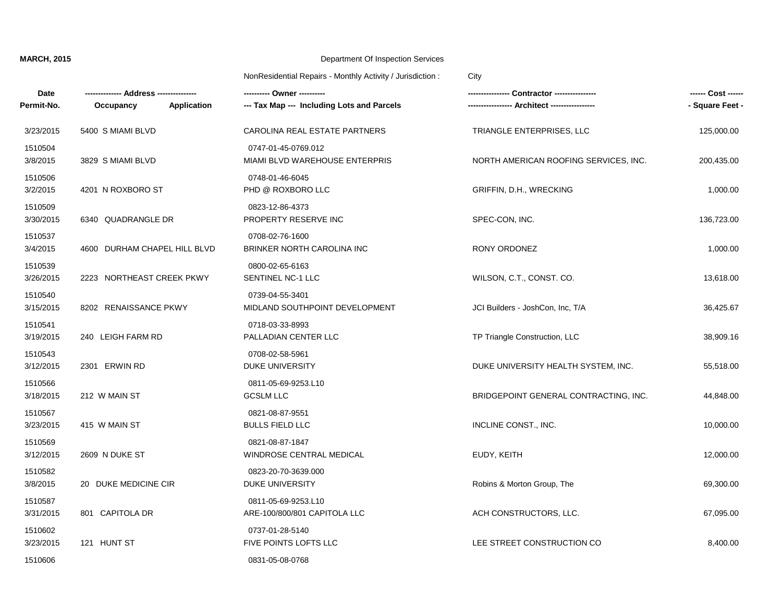| Date<br>Permit-No.   | ---- Address ----------<br>Application<br>Occupancy | ---- Owner ----------<br>--- Tax Map --- Including Lots and Parcels | - Contractor ----------------<br>-- Architect ----------------- | ------ Cost ------<br>- Square Feet - |
|----------------------|-----------------------------------------------------|---------------------------------------------------------------------|-----------------------------------------------------------------|---------------------------------------|
| 3/23/2015            | 5400 S MIAMI BLVD                                   | CAROLINA REAL ESTATE PARTNERS                                       | TRIANGLE ENTERPRISES, LLC                                       | 125,000.00                            |
| 1510504<br>3/8/2015  | 3829 S MIAMI BLVD                                   | 0747-01-45-0769.012<br>MIAMI BLVD WAREHOUSE ENTERPRIS               | NORTH AMERICAN ROOFING SERVICES, INC.                           | 200,435.00                            |
| 1510506<br>3/2/2015  | 4201 N ROXBORO ST                                   | 0748-01-46-6045<br>PHD @ ROXBORO LLC                                | GRIFFIN, D.H., WRECKING                                         | 1,000.00                              |
| 1510509<br>3/30/2015 | 6340 QUADRANGLE DR                                  | 0823-12-86-4373<br>PROPERTY RESERVE INC                             | SPEC-CON, INC.                                                  | 136,723.00                            |
| 1510537<br>3/4/2015  | 4600 DURHAM CHAPEL HILL BLVD                        | 0708-02-76-1600<br>BRINKER NORTH CAROLINA INC                       | RONY ORDONEZ                                                    | 1,000.00                              |
| 1510539<br>3/26/2015 | 2223 NORTHEAST CREEK PKWY                           | 0800-02-65-6163<br>SENTINEL NC-1 LLC                                | WILSON, C.T., CONST. CO.                                        | 13,618.00                             |
| 1510540<br>3/15/2015 | 8202 RENAISSANCE PKWY                               | 0739-04-55-3401<br>MIDLAND SOUTHPOINT DEVELOPMENT                   | JCI Builders - JoshCon, Inc, T/A                                | 36,425.67                             |
| 1510541<br>3/19/2015 | 240 LEIGH FARM RD                                   | 0718-03-33-8993<br>PALLADIAN CENTER LLC                             | TP Triangle Construction, LLC                                   | 38,909.16                             |
| 1510543<br>3/12/2015 | 2301 ERWIN RD                                       | 0708-02-58-5961<br><b>DUKE UNIVERSITY</b>                           | DUKE UNIVERSITY HEALTH SYSTEM, INC.                             | 55,518.00                             |
| 1510566<br>3/18/2015 | 212 W MAIN ST                                       | 0811-05-69-9253.L10<br><b>GCSLM LLC</b>                             | BRIDGEPOINT GENERAL CONTRACTING, INC.                           | 44,848.00                             |
| 1510567<br>3/23/2015 | 415 W MAIN ST                                       | 0821-08-87-9551<br><b>BULLS FIELD LLC</b>                           | INCLINE CONST., INC.                                            | 10,000.00                             |
| 1510569<br>3/12/2015 | 2609 N DUKE ST                                      | 0821-08-87-1847<br>WINDROSE CENTRAL MEDICAL                         | EUDY, KEITH                                                     | 12,000.00                             |
| 1510582<br>3/8/2015  | 20 DUKE MEDICINE CIR                                | 0823-20-70-3639.000<br><b>DUKE UNIVERSITY</b>                       | Robins & Morton Group, The                                      | 69,300.00                             |
| 1510587<br>3/31/2015 | 801 CAPITOLA DR                                     | 0811-05-69-9253.L10<br>ARE-100/800/801 CAPITOLA LLC                 | ACH CONSTRUCTORS, LLC.                                          | 67,095.00                             |
| 1510602<br>3/23/2015 | 121 HUNT ST                                         | 0737-01-28-5140<br>FIVE POINTS LOFTS LLC                            | LEE STREET CONSTRUCTION CO                                      | 8,400.00                              |
| 1510606              |                                                     | 0831-05-08-0768                                                     |                                                                 |                                       |